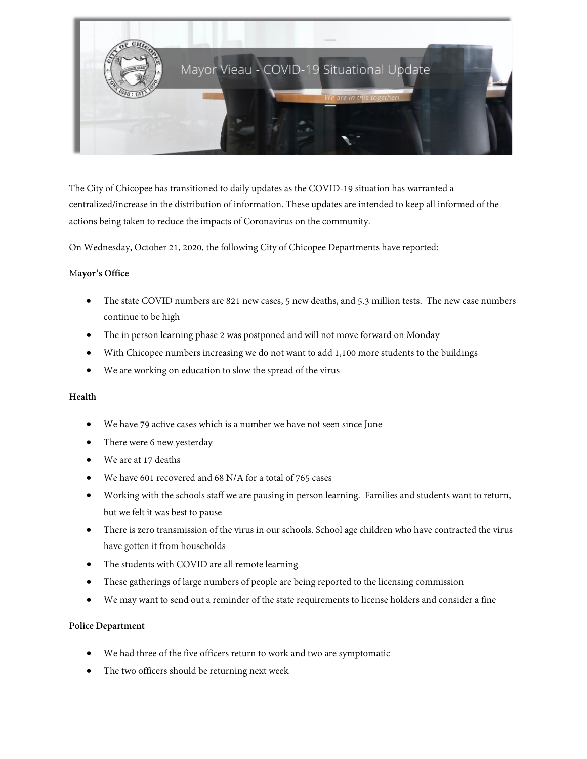

The City of Chicopee has transitioned to daily updates as the COVID-19 situation has warranted a centralized/increase in the distribution of information. These updates are intended to keep all informed of the actions being taken to reduce the impacts of Coronavirus on the community.

On Wednesday, October 21, 2020, the following City of Chicopee Departments have reported:

### M**ayor's Office**

- The state COVID numbers are 821 new cases, 5 new deaths, and 5.3 million tests. The new case numbers continue to be high
- The in person learning phase 2 was postponed and will not move forward on Monday
- With Chicopee numbers increasing we do not want to add 1,100 more students to the buildings
- We are working on education to slow the spread of the virus

### **Health**

- We have 79 active cases which is a number we have not seen since June
- There were 6 new yesterday
- We are at 17 deaths
- We have 601 recovered and 68 N/A for a total of 765 cases
- Working with the schools staff we are pausing in person learning. Families and students want to return, but we felt it was best to pause
- There is zero transmission of the virus in our schools. School age children who have contracted the virus have gotten it from households
- The students with COVID are all remote learning
- These gatherings of large numbers of people are being reported to the licensing commission
- We may want to send out a reminder of the state requirements to license holders and consider a fine

#### **Police Department**

- We had three of the five officers return to work and two are symptomatic
- The two officers should be returning next week